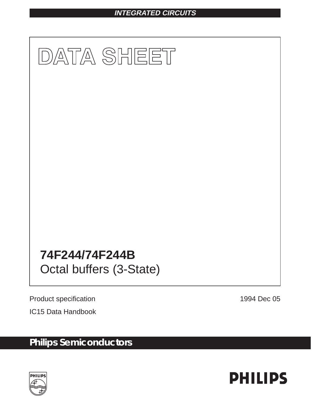# **INTEGRATED CIRCUITS**



Product specification **1994** Dec 05

IC15 Data Handbook

# **Philips Semiconductors**



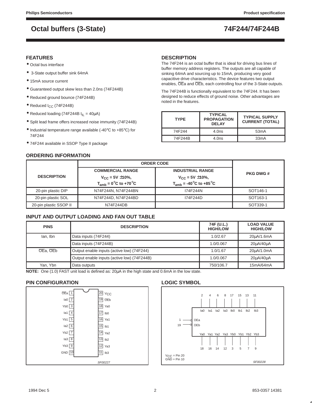### **FEATURES**

- Octal bus interface
- 3-State output buffer sink 64mA
- 15mA source current
- Guaranteed output skew less than 2.0ns (74F244B)
- Reduced ground bounce (74F244B)
- Reduced I<sub>CC</sub> (74F244B)
- Reduced loading (74F244B  $I_{IL} = 40 \mu A$ )
- Split lead frame offers increased noise immunity (74F244B)
- $\bullet$  Industrial temperature range available (-40 $\degree$ C to +85 $\degree$ C) for 74F244
- 74F244 available in SSOP Type II package

### **ORDERING INFORMATION**

### **DESCRIPTION**

The 74F244 is an octal buffer that is ideal for driving bus lines of buffer memory address registers. The outputs are all capable of sinking 64mA and sourcing up to 15mA, producing very good capacitive drive characteristics. The device features two output enables, OEa and OEb, each controlling four of the 3-State outputs.

The 74F244B is functionally equivalent to the 74F244. It has been designed to reduce effects of ground noise. Other advantages are noted in the features.

| <b>TYPE</b>        | <b>TYPICAL</b><br><b>PROPAGATION</b><br><b>DELAY</b> | <b>TYPICAL SUPPLY</b><br><b>CURRENT (TOTAL)</b> |
|--------------------|------------------------------------------------------|-------------------------------------------------|
| 74F <sub>244</sub> | 4.0ns                                                | 53mA                                            |
| 74F244B            | 4.0ns                                                | 33 <sub>m</sub> A                               |

|                        |                                                       | <b>ORDER CODE</b>                                    |                      |  |
|------------------------|-------------------------------------------------------|------------------------------------------------------|----------------------|--|
| <b>DESCRIPTION</b>     | <b>COMMERCIAL RANGE</b>                               | <b>INDUSTRIAL RANGE</b>                              | <b>PKG DWG #</b>     |  |
|                        | $V_{CC}$ = 5V $\pm$ 10%,                              | $V_{CC}$ = 5V $\pm$ 10%,                             |                      |  |
|                        | $T_{amb} = 0^\circ \text{C}$ to +70 $^\circ \text{C}$ | $T_{amb}$ = -40 <sup>o</sup> C to +85 <sup>o</sup> C |                      |  |
| 20-pin plastic DIP     | N74F244N, N74F244BN                                   | 174F244N                                             | SOT <sub>146-1</sub> |  |
| 20-pin plastic SOL     | N74F244D, N74F244BD                                   | 174F244D                                             | SOT <sub>163-1</sub> |  |
| 20-pin plastic SSOP II | N74F244DB                                             |                                                      | SOT339-1             |  |

### **INPUT AND OUTPUT LOADING AND FAN OUT TABLE**

| <b>PINS</b> | <b>DESCRIPTION</b>                          | 74F (U.L.)<br><b>HIGH/LOW</b> | <b>LOAD VALUE</b><br><b>HIGH/LOW</b> |
|-------------|---------------------------------------------|-------------------------------|--------------------------------------|
| lan, Ibn    | Data inputs (74F244)                        | 1.0/2.67                      | 20µA/1.6mA                           |
|             | Data inputs (74F244B)                       | 1.0/0.067                     | 20uA/40uA                            |
| OEa, OEb    | Output enable inputs (active low) (74F244)  | 1.0/1.67                      | 20µA/1.0mA                           |
|             | Output enable inputs (active low) (74F244B) | 1.0/0.067                     | 20uA/40uA                            |
| Yan, Ybn    | Data outputs                                | 750/106.7                     | 15mA/64mA                            |

**NOTE:** One (1.0) FAST unit load is defined as: 20µA in the high state and 0.6mA in the low state.

### **PIN CONFIGURATION**



### **LOGIC SYMBOL**

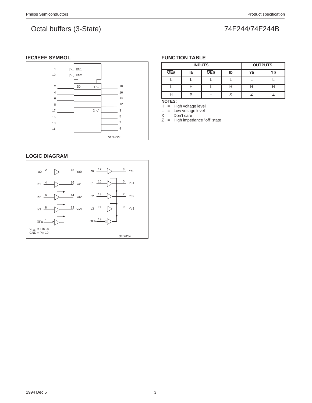### **IEC/IEEE SYMBOL**



### **LOGIC DIAGRAM**



### **FUNCTION TABLE**

|            | <b>INPUTS</b> | <b>OUTPUTS</b> |    |    |    |
|------------|---------------|----------------|----|----|----|
| <b>OEa</b> | la            | <b>OEb</b>     | lb | Ya | Yb |
|            |               |                |    |    |    |
|            |               |                |    |    |    |
|            |               |                |    |    |    |

**NOTES:**

H = High voltage level

 $L =$  Low voltage level

 $X = Don't care$ 

Z = High impedance "off" state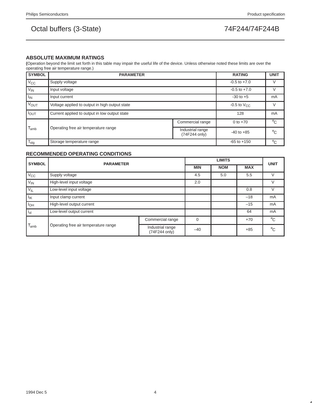### **ABSOLUTE MAXIMUM RATINGS**

**(**Operation beyond the limit set forth in this table may impair the useful life of the device. Unless otherwise noted these limits are over the operating free air temperature range.)

| <b>SYMBOL</b>          | <b>PARAMETER</b>                               |                                   | <b>RATING</b>    | <b>UNIT</b>  |
|------------------------|------------------------------------------------|-----------------------------------|------------------|--------------|
| $V_{\rm CC}$           | Supply voltage                                 |                                   | $-0.5$ to $+7.0$ | V            |
| $V_{IN}$               | Input voltage                                  |                                   | $-0.5$ to $+7.0$ | V            |
| $I_{IN}$               | Input current                                  |                                   | $-30$ to $+5$    | mA           |
| <b>V<sub>OUT</sub></b> | Voltage applied to output in high output state | $-0.5$ to $V_{\text{CC}}$         | V                |              |
| $I_{OUT}$              | Current applied to output in low output state  |                                   | 128              | mA           |
|                        |                                                | Commercial range                  | 0 to $+70$       | $^{\circ}$ C |
| $T_{amb}$              | Operating free air temperature range           | Industrial range<br>(74F244 only) | $-40$ to $+85$   | $^{\circ}C$  |
| $T_{\text{stg}}$       | Storage temperature range                      |                                   | $-65$ to $+150$  | $^{\circ}$ C |

### **RECOMMENDED OPERATING CONDITIONS**

| <b>SYMBOL</b>                                     | <b>PARAMETER</b>          |                                   | <b>UNIT</b> |            |            |              |
|---------------------------------------------------|---------------------------|-----------------------------------|-------------|------------|------------|--------------|
|                                                   |                           |                                   | <b>MIN</b>  | <b>NOM</b> | <b>MAX</b> |              |
| $V_{\rm CC}$                                      | Supply voltage            |                                   | 4.5         | 5.0        | 5.5        | $\vee$       |
| $V_{IN}$                                          | High-level input voltage  |                                   | 2.0         |            |            | $\vee$       |
| $V_{IL}$                                          | Low-level input voltage   |                                   |             | 0.8        | $\vee$     |              |
| $I_{IK}$                                          | Input clamp current       |                                   |             | $-18$      | mA         |              |
| $I_{OH}$                                          | High-level output current |                                   |             |            | $-15$      | mA           |
| $i_{ol}$                                          | Low-level output current  |                                   |             |            | 64         | mA           |
| $T_{amb}$<br>Operating free air temperature range |                           | Commercial range                  | $\Omega$    |            | $+70$      | $^{\circ}$ C |
|                                                   |                           | Industrial range<br>(74F244 only) | $-40$       |            | $+85$      | $^{\circ}$ C |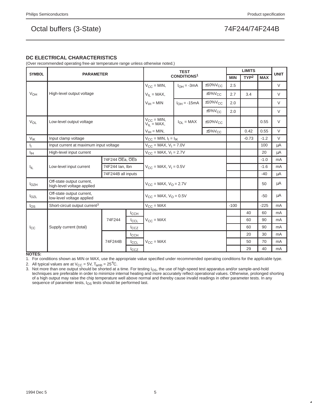### **DC ELECTRICAL CHARACTERISTICS**

(Over recommended operating free-air temperature range unless otherwise noted.)

| <b>SYMBOL</b>    |                                                         |                                       | <b>TEST</b>                        |                                                   |                           | <b>LIMITS</b> |            | <b>UNIT</b>      |            |        |
|------------------|---------------------------------------------------------|---------------------------------------|------------------------------------|---------------------------------------------------|---------------------------|---------------|------------|------------------|------------|--------|
|                  | <b>PARAMETER</b>                                        |                                       |                                    |                                                   | <b>CONDITIONS1</b>        |               | <b>MIN</b> | TYP <sup>2</sup> | <b>MAX</b> |        |
|                  |                                                         |                                       |                                    | $V_{CC} = MIN,$                                   | $I_{OH} = -3mA$           | $±10\%V_{CC}$ | 2.5        |                  |            | $\vee$ |
| V <sub>OH</sub>  | High-level output voltage                               |                                       | $V_{IL} = MAX,$                    |                                                   | $\pm 5\%$ V <sub>CC</sub> | 2.7           | 3.4        |                  | $\vee$     |        |
|                  |                                                         |                                       | $V_{IH} = MIN$                     | $I_{OH} = -15mA$                                  | $±10\%V_{CC}$             | 2.0           |            |                  | $\vee$     |        |
|                  |                                                         |                                       |                                    |                                                   | $±5\%V_{CC}$              | 2.0           |            |                  | V          |        |
| $V_{OL}$         | Low-level output voltage                                |                                       | $V_{CC} = MIN,$<br>$V_{IL} = MAX,$ | $I_{\Omega I}$ = MAX                              | $±10\%V_{CC}$             |               |            | 0.55             | V          |        |
|                  |                                                         |                                       |                                    | $V_{IH} = MIN,$                                   |                           | $±5\%V_{CC}$  |            | 0.42             | 0.55       | $\vee$ |
| $V_{\text{IK}}$  | Input clamp voltage                                     |                                       |                                    | $V_{CC} = MIN, I_1 = I_{IK}$                      |                           |               |            | $-0.73$          | $-1.2$     | $\vee$ |
| Щ.               | Input current at maximum input voltage                  |                                       |                                    | $V_{\text{CC}} = \text{MAX}, V_{\text{I}} = 7.0V$ |                           |               |            |                  | 100        | μA     |
| $I_{\text{IH}}$  | High-level input current                                |                                       |                                    | $V_{CC}$ = MAX, $V_1$ = 2.7V                      |                           |               |            |                  | 20         | μA     |
|                  |                                                         | 74F244 OEa, OEb                       |                                    |                                                   |                           |               |            |                  | $-1.0$     | mA     |
| $I_{IL}$         | Low-level input current                                 | 74F244 Ian, Ibn<br>74F244B all inputs |                                    | $V_{CC}$ = MAX, $V_1$ = 0.5V                      |                           |               |            |                  | $-1.6$     | mA     |
|                  |                                                         |                                       |                                    |                                                   |                           |               |            |                  | $-40$      | μA     |
| I <sub>OZH</sub> | Off-state output current,<br>high-level voltage applied |                                       |                                    | $V_{\rm CC}$ = MAX, $V_{\rm O}$ = 2.7V            |                           |               |            |                  | 50         | μA     |
| $I_{OZL}$        | Off-state output current,<br>low-level voltage applied  |                                       |                                    | $V_{CC}$ = MAX, $V_{O}$ = 0.5V                    |                           |               |            |                  | $-50$      | μA     |
| $I_{OS}$         | Short-circuit output current <sup>3</sup>               |                                       |                                    | $V_{CC}$ = MAX                                    |                           |               | $-100$     |                  | $-225$     | mA     |
|                  |                                                         |                                       | <b>I</b> CCH                       |                                                   |                           |               |            | 40               | 60         | mA     |
|                  |                                                         | 74F244                                | $I_{CCL}$                          | $V_{CC} = MAX$                                    |                           |               |            | 60               | 90         | mA     |
| $_{\text{Lcc}}$  | Supply current (total)                                  |                                       | $_{\text{Lcz}}$                    |                                                   |                           |               |            | 60               | 90         | mA     |
|                  |                                                         |                                       | ICCH                               |                                                   |                           |               |            | 20               | 30         | mA     |
|                  |                                                         | 74F244B                               | ICCL                               | $V_{\text{CC}} = \text{MAX}$                      |                           |               |            | 50               | 70         | mA     |
|                  |                                                         |                                       | $I_{CCZ}$                          |                                                   |                           |               |            | 29               | 40         | mA     |

**NOTES:**

1. For conditions shown as MIN or MAX, use the appropriate value specified under recommended operating conditions for the applicable type.

2. All typical values are at  $V_{CC} = 5V$ ,  $T_{amb} = 25^{\circ}C$ .<br>3. Not more than one output should be shorted at a 3. Not more than one output should be shorted at a time. For testing  $I<sub>OS</sub>$ , the use of high-speed test apparatus and/or sample-and-hold<br>techniques are preferable in order to minimize internal heating and more accurat of a high output may raise the chip temperature well above normal and thereby cause invalid readings in other parameter tests. In any sequence of parameter tests, I<sub>OS</sub> tests should be performed last.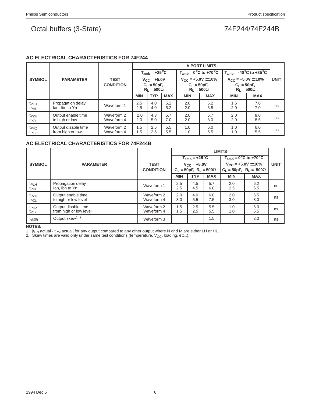### **AC ELECTRICAL CHARACTERISTICS FOR 74F244**

|                                      |                                         |                                 |                                                             |                                |            |                                                                  | A PORT LIMITS                                         |                                                                  |            |             |
|--------------------------------------|-----------------------------------------|---------------------------------|-------------------------------------------------------------|--------------------------------|------------|------------------------------------------------------------------|-------------------------------------------------------|------------------------------------------------------------------|------------|-------------|
| <b>SYMBOL</b>                        |                                         |                                 |                                                             | $T_{amb}$ = +25 <sup>°</sup> C |            |                                                                  | $T_{amb} = 0^\circ \text{C}$ to +70 $^\circ \text{C}$ | $T_{amb}$ = -40 <sup>°</sup> C to +85 <sup>°</sup> C             |            |             |
|                                      | <b>PARAMETER</b>                        | <b>TEST</b><br><b>CONDITION</b> | $V_{\rm CC} = +5.0 V$<br>$C_1 = 50pF,$<br>$R_1 = 500\Omega$ |                                |            | $V_{CC}$ = +5.0V $\pm$ 10%<br>$C_1 = 50pF,$<br>$R_1 = 500\Omega$ |                                                       | $V_{CC}$ = +5.0V $\pm$ 10%<br>$C_L = 50pF,$<br>$R_1 = 500\Omega$ |            | <b>UNIT</b> |
|                                      |                                         |                                 | <b>MIN</b>                                                  | <b>TYP</b>                     | <b>MAX</b> | <b>MIN</b>                                                       | <b>MAX</b>                                            | <b>MIN</b>                                                       | <b>MAX</b> |             |
| t <sub>PLH</sub><br>t <sub>PHL</sub> | Propagation delay<br>lan. Ibn to Yn     | Waveform 1                      | 2.5<br>2.5                                                  | 4.0<br>4.0                     | 5.2<br>5.2 | 2.0<br>2.0                                                       | 6.2<br>6.5                                            | 1.5<br>2.0                                                       | 7.0<br>7.0 | ns          |
| t <sub>PZH</sub><br>t <sub>PZL</sub> | Output enable time<br>to high or low    | Waveform 2<br>Waveform 4        | 2.0<br>2.0                                                  | 4.3<br>5.0                     | 5.7<br>7.0 | 2.0<br>2.0                                                       | 6.7<br>8.0                                            | 2.0<br>2.0                                                       | 8.0<br>8.5 | ns          |
| t <sub>PHZ</sub><br>t <sub>PLZ</sub> | Output disable time<br>from high or low | Waveform 2<br>Waveform 4        | 1.5<br>1.5                                                  | 2.5<br>2.5                     | 5.5<br>5.5 | 1.0<br>1.0                                                       | 6.0<br>5.5                                            | 1.0<br>1.0                                                       | 6.0<br>5.5 | ns          |

### **AC ELECTRICAL CHARACTERISTICS FOR 74F244B**

|                                      |                                               |                          |            | <b>LIMITS</b>                    |            |                                                       |                                  |             |  |  |
|--------------------------------------|-----------------------------------------------|--------------------------|------------|----------------------------------|------------|-------------------------------------------------------|----------------------------------|-------------|--|--|
|                                      |                                               |                          |            | $T_{amb}$ = +25 <sup>°</sup> C   |            | $T_{amb} = 0^\circ \text{C}$ to +70 $^\circ \text{C}$ |                                  |             |  |  |
| <b>SYMBOL</b>                        | <b>PARAMETER</b>                              | <b>TEST</b>              |            | $V_{CC} = +5.0V$                 |            |                                                       | $V_{CC}$ = +5.0V $\pm$ 10%       | <b>UNIT</b> |  |  |
|                                      |                                               | <b>CONDITION</b>         |            | $C_L = 50pF$ , $R_L = 500\Omega$ |            |                                                       | $C_L = 50pF$ , $R_L = 500\Omega$ |             |  |  |
|                                      |                                               |                          | <b>MIN</b> | <b>TYP</b>                       | <b>MAX</b> | <b>MIN</b>                                            | <b>MAX</b>                       |             |  |  |
| t <sub>PLH</sub><br><sup>t</sup> PHL | Propagation delay<br>lan, Ibn to Yn           | Waveform 1               | 2.5<br>2.5 | 4.5<br>4.5                       | 5.7<br>6.0 | 2.0<br>2.5                                            | 6.2<br>6.5                       | ns          |  |  |
| t <sub>PZH</sub><br>t <sub>PZL</sub> | Output enable time<br>to high or low level    | Waveform 2<br>Waveform 4 | 2.0<br>3.0 | 4.0<br>5.5                       | 6.0<br>7.5 | 2.0<br>3.0                                            | 6.5<br>8.0                       | ns          |  |  |
| t <sub>PHZ</sub><br>t <sub>PLZ</sub> | Output disable time<br>from high or low level | Waveform 2<br>Waveform 4 | 1.5<br>1.5 | 2.5<br>2.5                       | 5.5<br>5.5 | 1.0<br>1.0                                            | 6.0<br>5.5                       | ns          |  |  |
| $t_{\rm sk(0)}$                      | Output skew <sup>1, 2</sup>                   | Waveform 3               |            |                                  | 1.5        |                                                       | 2.0                              | ns          |  |  |

**NOTES:**

1.  $|$ t<sub>PN</sub> actual - t<sub>PM</sub> actual| for any output compared to any other output where N and M are either LH or HL.

2. Skew times are valid only under same test conditions (temperature,  $V_{CC}$ , loading, etc.,).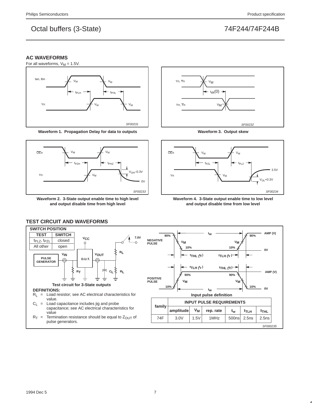SF000235

## Octal buffers (3-State) 74F244/74F244B

### **AC WAVEFORMS**



**Waveform 1. Propagation Delay for data to outputs**



**Waveform 2. 3-State output enable time to high level and output disable time from high level**



**Waveform 3. Output skew**



**Waveform 4. 3-State output enable time to low level and output disable time from low level**



### **TEST CIRCUIT AND WAVEFORMS**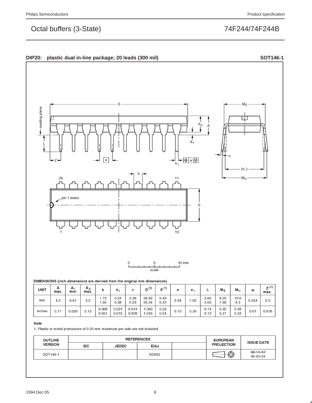



### DIMENSIONS (inch dimensions are derived from the original mm dimensions)

| <b>UNIT</b> | А<br>max. | A۱<br>min. | A <sub>2</sub><br>max. | b              | b,             | c              | (1)<br>D'      | $E^{(1)}$    | е    | е.   | ┕            | $M_{E}$      | $M_{\text{F}}$ | w     | z <sup>(1)</sup><br>max. |
|-------------|-----------|------------|------------------------|----------------|----------------|----------------|----------------|--------------|------|------|--------------|--------------|----------------|-------|--------------------------|
| mm          | 4.2       | 0.51       | 3.2                    | 1.73<br>.30    | 0.53<br>0.38   | 0.36<br>0.23   | 26.92<br>26.54 | 6.40<br>6.22 | 2.54 | 7.62 | 3.60<br>3.05 | 8.25<br>7.80 | 10.0<br>8.3    | 0.254 | 2.0                      |
| inches      | 0.17      | 0.020      | 0.13                   | 0.068<br>0.051 | 0.021<br>0.015 | 0.014<br>0.009 | .060<br>.045   | 0.25<br>0.24 | 0.10 | 0.30 | 0.14<br>0.12 | 0.32<br>0.31 | 0.39<br>0.33   | 0.01  | 0.078                    |

### Note

1. Plastic or metal protrusions of 0.25 mm maximum per side are not included.

| <b>OUTLINE</b> |            | <b>REFERENCES</b> | <b>EUROPEAN</b> |  |                   |                             |  |
|----------------|------------|-------------------|-----------------|--|-------------------|-----------------------------|--|
| <b>VERSION</b> | <b>IEC</b> | <b>JEDEC</b>      | <b>EIAJ</b>     |  | <b>PROJECTION</b> | <b>ISSUE DATE</b>           |  |
| SOT146-1       |            |                   | SC603           |  | ⊕                 | $-92 - 11 - 17$<br>95-05-24 |  |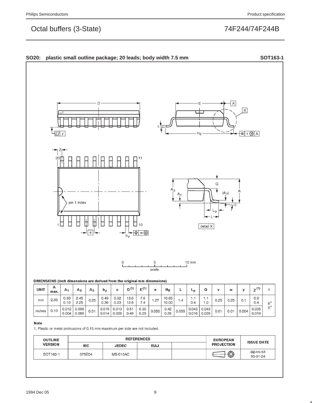

1. Plastic or metal protrusions of 0.15 mm maximum per side are not included.

| <b>OUTLINE</b> |            | <b>REFERENCES</b> | <b>EUROPEAN</b> | <b>ISSUE DATE</b> |                   |                             |
|----------------|------------|-------------------|-----------------|-------------------|-------------------|-----------------------------|
| <b>VERSION</b> | <b>IEC</b> | <b>JEDEC</b>      | <b>EIAJ</b>     |                   | <b>PROJECTION</b> |                             |
| SOT163-1       | 075E04     | <b>MS-013AC</b>   |                 |                   | ⊕                 | $-92 - 11 - 17$<br>95-01-24 |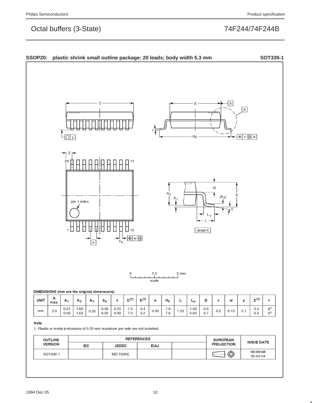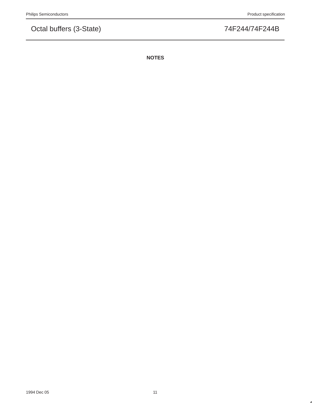**NOTES**